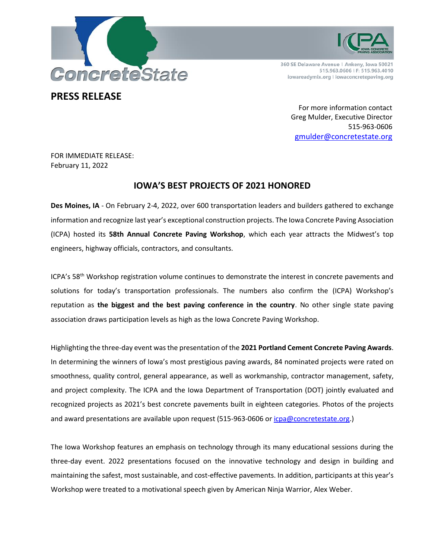



360 SE Delaware Avenue | Ankeny, Iowa 50021 515.963.0606 | F: 515.963.4010 iowareadymix.org | iowaconcretepaving.org

# **PRESS RELEASE**

For more information contact Greg Mulder, Executive Director 515-963-0606 [gmulder@concretestate.org](mailto:gmulder@concretestate.org)

FOR IMMEDIATE RELEASE: February 11, 2022

# **IOWA'S BEST PROJECTS OF 2021 HONORED**

**Des Moines, IA** - On February 2-4, 2022, over 600 transportation leaders and builders gathered to exchange information and recognize last year's exceptional construction projects. The Iowa Concrete Paving Association (ICPA) hosted its **58th Annual Concrete Paving Workshop**, which each year attracts the Midwest's top engineers, highway officials, contractors, and consultants.

ICPA's 58<sup>th</sup> Workshop registration volume continues to demonstrate the interest in concrete pavements and solutions for today's transportation professionals. The numbers also confirm the (ICPA) Workshop's reputation as **the biggest and the best paving conference in the country**. No other single state paving association draws participation levels as high as the Iowa Concrete Paving Workshop.

Highlighting the three-day event was the presentation of the **2021 Portland Cement Concrete Paving Awards**. In determining the winners of Iowa's most prestigious paving awards, 84 nominated projects were rated on smoothness, quality control, general appearance, as well as workmanship, contractor management, safety, and project complexity. The ICPA and the Iowa Department of Transportation (DOT) jointly evaluated and recognized projects as 2021's best concrete pavements built in eighteen categories. Photos of the projects and award presentations are available upon request (515-963-0606 or [icpa@concretestate.org.](mailto:icpa@concretestate.org))

The Iowa Workshop features an emphasis on technology through its many educational sessions during the three-day event. 2022 presentations focused on the innovative technology and design in building and maintaining the safest, most sustainable, and cost-effective pavements. In addition, participants at this year's Workshop were treated to a motivational speech given by American Ninja Warrior, Alex Weber.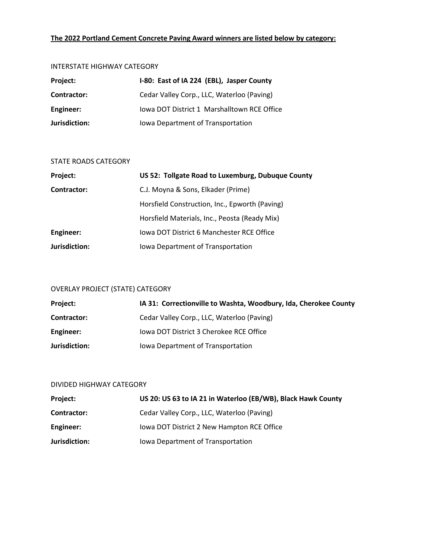# **The 2022 Portland Cement Concrete Paving Award winners are listed below by category:**

#### INTERSTATE HIGHWAY CATEGORY

| Project:      | I-80: East of IA 224 (EBL), Jasper County   |
|---------------|---------------------------------------------|
| Contractor:   | Cedar Valley Corp., LLC, Waterloo (Paving)  |
| Engineer:     | Iowa DOT District 1 Marshalltown RCE Office |
| Jurisdiction: | Iowa Department of Transportation           |

### STATE ROADS CATEGORY

| Project:      | US 52: Tollgate Road to Luxemburg, Dubuque County |
|---------------|---------------------------------------------------|
| Contractor:   | C.J. Moyna & Sons, Elkader (Prime)                |
|               | Horsfield Construction, Inc., Epworth (Paving)    |
|               | Horsfield Materials, Inc., Peosta (Ready Mix)     |
| Engineer:     | lowa DOT District 6 Manchester RCE Office         |
| Jurisdiction: | Iowa Department of Transportation                 |

# OVERLAY PROJECT (STATE) CATEGORY

| <b>Project:</b> | IA 31: Correctionville to Washta, Woodbury, Ida, Cherokee County |
|-----------------|------------------------------------------------------------------|
| Contractor:     | Cedar Valley Corp., LLC, Waterloo (Paving)                       |
| Engineer:       | lowa DOT District 3 Cherokee RCE Office                          |
| Jurisdiction:   | lowa Department of Transportation                                |

# DIVIDED HIGHWAY CATEGORY

| <b>Project:</b> | US 20: US 63 to IA 21 in Waterloo (EB/WB), Black Hawk County |
|-----------------|--------------------------------------------------------------|
| Contractor:     | Cedar Valley Corp., LLC, Waterloo (Paving)                   |
| Engineer:       | Iowa DOT District 2 New Hampton RCE Office                   |
| Jurisdiction:   | lowa Department of Transportation                            |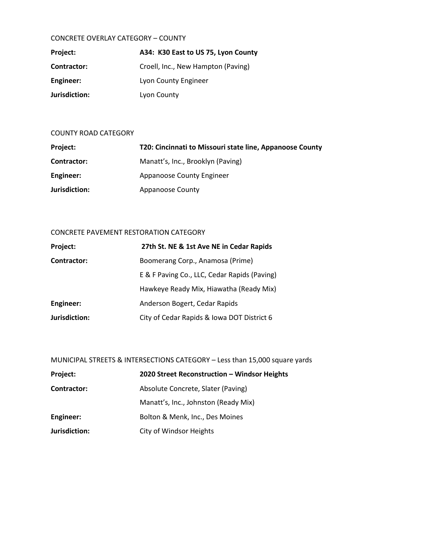### CONCRETE OVERLAY CATEGORY – COUNTY

| Project:      | A34: K30 East to US 75, Lyon County |
|---------------|-------------------------------------|
| Contractor:   | Croell, Inc., New Hampton (Paving)  |
| Engineer:     | Lyon County Engineer                |
| Jurisdiction: | Lyon County                         |

### COUNTY ROAD CATEGORY

| Project:      | T20: Cincinnati to Missouri state line, Appanoose County |
|---------------|----------------------------------------------------------|
| Contractor:   | Manatt's, Inc., Brooklyn (Paving)                        |
| Engineer:     | Appanoose County Engineer                                |
| Jurisdiction: | <b>Appanoose County</b>                                  |

# CONCRETE PAVEMENT RESTORATION CATEGORY

| Project:           | 27th St. NE & 1st Ave NE in Cedar Rapids     |
|--------------------|----------------------------------------------|
| <b>Contractor:</b> | Boomerang Corp., Anamosa (Prime)             |
|                    | E & F Paving Co., LLC, Cedar Rapids (Paving) |
|                    | Hawkeye Ready Mix, Hiawatha (Ready Mix)      |
| <b>Engineer:</b>   | Anderson Bogert, Cedar Rapids                |
| Jurisdiction:      | City of Cedar Rapids & Iowa DOT District 6   |

MUNICIPAL STREETS & INTERSECTIONS CATEGORY – Less than 15,000 square yards

| Project:      | 2020 Street Reconstruction - Windsor Heights |
|---------------|----------------------------------------------|
| Contractor:   | Absolute Concrete, Slater (Paving)           |
|               | Manatt's, Inc., Johnston (Ready Mix)         |
| Engineer:     | Bolton & Menk, Inc., Des Moines              |
| Jurisdiction: | City of Windsor Heights                      |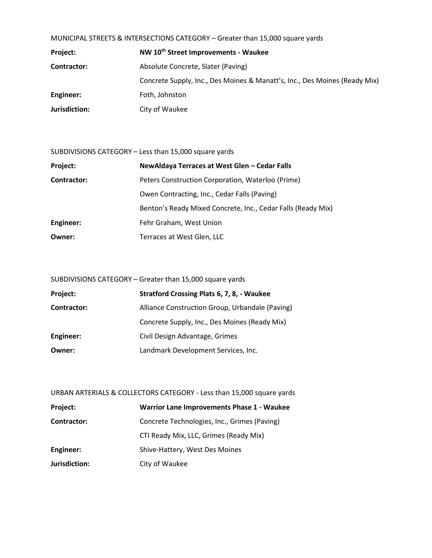MUNICIPAL STREETS & INTERSECTIONS CATEGORY – Greater than 15,000 square yards

| Project:      | NW 10 <sup>th</sup> Street Improvements - Waukee                           |
|---------------|----------------------------------------------------------------------------|
| Contractor:   | Absolute Concrete, Slater (Paving)                                         |
|               | Concrete Supply, Inc., Des Moines & Manatt's, Inc., Des Moines (Ready Mix) |
| Engineer:     | Foth, Johnston                                                             |
| Jurisdiction: | City of Waukee                                                             |

SUBDIVISIONS CATEGORY – Less than 15,000 square yards

| Project:           | NewAldaya Terraces at West Glen - Cedar Falls                |
|--------------------|--------------------------------------------------------------|
| <b>Contractor:</b> | Peters Construction Corporation, Waterloo (Prime)            |
|                    | Owen Contracting, Inc., Cedar Falls (Paving)                 |
|                    | Benton's Ready Mixed Concrete, Inc., Cedar Falls (Ready Mix) |
| Engineer:          | Fehr Graham, West Union                                      |
| Owner:             | Terraces at West Glen, LLC                                   |

SUBDIVISIONS CATEGORY – Greater than 15,000 square yards

| Project:           | Stratford Crossing Plats 6, 7, 8, - Waukee      |
|--------------------|-------------------------------------------------|
| <b>Contractor:</b> | Alliance Construction Group, Urbandale (Paving) |
|                    | Concrete Supply, Inc., Des Moines (Ready Mix)   |
| Engineer:          | Civil Design Advantage, Grimes                  |
| Owner:             | Landmark Development Services, Inc.             |

URBAN ARTERIALS & COLLECTORS CATEGORY - Less than 15,000 square yards

| Project:           | <b>Warrior Lane Improvements Phase 1 - Waukee</b> |
|--------------------|---------------------------------------------------|
| <b>Contractor:</b> | Concrete Technologies, Inc., Grimes (Paving)      |
|                    | CTI Ready Mix, LLC, Grimes (Ready Mix)            |
| Engineer:          | Shive-Hattery, West Des Moines                    |
| Jurisdiction:      | City of Waukee                                    |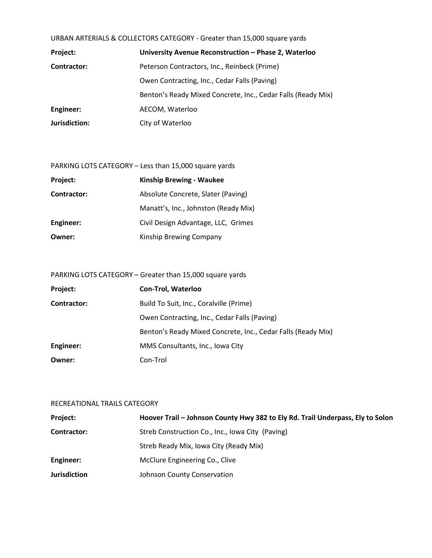| URBAN ARTERIALS & COLLECTORS CATEGORY - Greater than 15,000 square yards |  |  |
|--------------------------------------------------------------------------|--|--|
|--------------------------------------------------------------------------|--|--|

| Project:      | University Avenue Reconstruction - Phase 2, Waterloo         |
|---------------|--------------------------------------------------------------|
| Contractor:   | Peterson Contractors, Inc., Reinbeck (Prime)                 |
|               | Owen Contracting, Inc., Cedar Falls (Paving)                 |
|               | Benton's Ready Mixed Concrete, Inc., Cedar Falls (Ready Mix) |
| Engineer:     | AECOM, Waterloo                                              |
| Jurisdiction: | City of Waterloo                                             |

| PARKING LOTS CATEGORY - Less than 15,000 square yards |  |  |  |  |
|-------------------------------------------------------|--|--|--|--|
|-------------------------------------------------------|--|--|--|--|

| Project:    | <b>Kinship Brewing - Waukee</b>      |  |
|-------------|--------------------------------------|--|
| Contractor: | Absolute Concrete, Slater (Paving)   |  |
|             | Manatt's, Inc., Johnston (Ready Mix) |  |
| Engineer:   | Civil Design Advantage, LLC, Grimes  |  |
| Owner:      | Kinship Brewing Company              |  |

| PARKING LOTS CATEGORY - Greater than 15,000 square yards |
|----------------------------------------------------------|
|----------------------------------------------------------|

| Project:    | <b>Con-Trol, Waterloo</b>                                    |
|-------------|--------------------------------------------------------------|
| Contractor: | Build To Suit, Inc., Coralville (Prime)                      |
|             | Owen Contracting, Inc., Cedar Falls (Paving)                 |
|             | Benton's Ready Mixed Concrete, Inc., Cedar Falls (Ready Mix) |
| Engineer:   | MMS Consultants, Inc., Iowa City                             |
| Owner:      | Con-Trol                                                     |

# RECREATIONAL TRAILS CATEGORY

| <b>Project:</b>     | Hoover Trail - Johnson County Hwy 382 to Ely Rd. Trail Underpass, Ely to Solon |
|---------------------|--------------------------------------------------------------------------------|
| Contractor:         | Streb Construction Co., Inc., Iowa City (Paving)                               |
|                     | Streb Ready Mix, Iowa City (Ready Mix)                                         |
| Engineer:           | McClure Engineering Co., Clive                                                 |
| <b>Jurisdiction</b> | Johnson County Conservation                                                    |